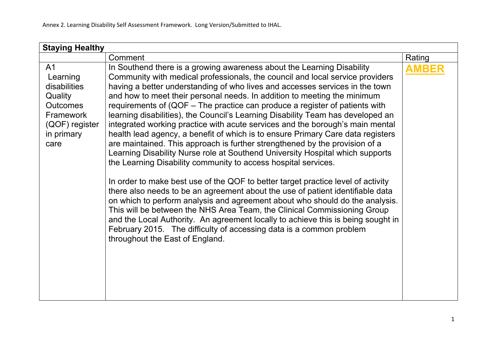| <b>Staying Healthy</b>                                                                                                               |                                                                                                                                                                                                                                                                                                                                                                                                                                                                                                                                                                                                                                                                                                                                                                                                                                                                                                                                                                                                                                                                                                                                                                                                                                                                                                                                                                                                                             |              |
|--------------------------------------------------------------------------------------------------------------------------------------|-----------------------------------------------------------------------------------------------------------------------------------------------------------------------------------------------------------------------------------------------------------------------------------------------------------------------------------------------------------------------------------------------------------------------------------------------------------------------------------------------------------------------------------------------------------------------------------------------------------------------------------------------------------------------------------------------------------------------------------------------------------------------------------------------------------------------------------------------------------------------------------------------------------------------------------------------------------------------------------------------------------------------------------------------------------------------------------------------------------------------------------------------------------------------------------------------------------------------------------------------------------------------------------------------------------------------------------------------------------------------------------------------------------------------------|--------------|
|                                                                                                                                      | Comment                                                                                                                                                                                                                                                                                                                                                                                                                                                                                                                                                                                                                                                                                                                                                                                                                                                                                                                                                                                                                                                                                                                                                                                                                                                                                                                                                                                                                     | Rating       |
| A <sub>1</sub><br>Learning<br>disabilities<br>Quality<br><b>Outcomes</b><br><b>Framework</b><br>(QOF) register<br>in primary<br>care | In Southend there is a growing awareness about the Learning Disability<br>Community with medical professionals, the council and local service providers<br>having a better understanding of who lives and accesses services in the town<br>and how to meet their personal needs. In addition to meeting the minimum<br>requirements of (QOF – The practice can produce a register of patients with<br>learning disabilities), the Council's Learning Disability Team has developed an<br>integrated working practice with acute services and the borough's main mental<br>health lead agency, a benefit of which is to ensure Primary Care data registers<br>are maintained. This approach is further strengthened by the provision of a<br>Learning Disability Nurse role at Southend University Hospital which supports<br>the Learning Disability community to access hospital services.<br>In order to make best use of the QOF to better target practice level of activity<br>there also needs to be an agreement about the use of patient identifiable data<br>on which to perform analysis and agreement about who should do the analysis.<br>This will be between the NHS Area Team, the Clinical Commissioning Group<br>and the Local Authority. An agreement locally to achieve this is being sought in<br>February 2015. The difficulty of accessing data is a common problem<br>throughout the East of England. | <b>AMBER</b> |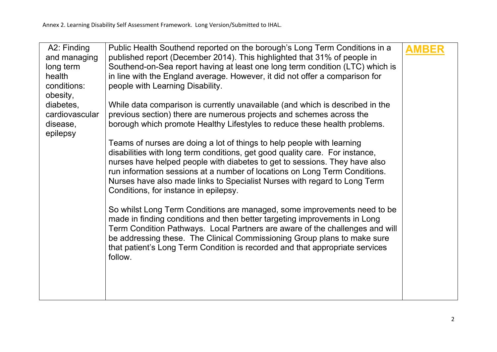| A2: Finding<br>and managing<br>long term<br>health<br>conditions:<br>obesity,<br>diabetes,<br>cardiovascular<br>disease,<br>epilepsy | Public Health Southend reported on the borough's Long Term Conditions in a<br>published report (December 2014). This highlighted that 31% of people in<br>Southend-on-Sea report having at least one long term condition (LTC) which is<br>in line with the England average. However, it did not offer a comparison for<br>people with Learning Disability.<br>While data comparison is currently unavailable (and which is described in the<br>previous section) there are numerous projects and schemes across the<br>borough which promote Healthy Lifestyles to reduce these health problems.<br>Teams of nurses are doing a lot of things to help people with learning<br>disabilities with long term conditions, get good quality care. For instance,<br>nurses have helped people with diabetes to get to sessions. They have also<br>run information sessions at a number of locations on Long Term Conditions.<br>Nurses have also made links to Specialist Nurses with regard to Long Term<br>Conditions, for instance in epilepsy. | <b>AMBER</b> |
|--------------------------------------------------------------------------------------------------------------------------------------|-----------------------------------------------------------------------------------------------------------------------------------------------------------------------------------------------------------------------------------------------------------------------------------------------------------------------------------------------------------------------------------------------------------------------------------------------------------------------------------------------------------------------------------------------------------------------------------------------------------------------------------------------------------------------------------------------------------------------------------------------------------------------------------------------------------------------------------------------------------------------------------------------------------------------------------------------------------------------------------------------------------------------------------------------|--------------|
|                                                                                                                                      | So whilst Long Term Conditions are managed, some improvements need to be<br>made in finding conditions and then better targeting improvements in Long<br>Term Condition Pathways. Local Partners are aware of the challenges and will<br>be addressing these. The Clinical Commissioning Group plans to make sure<br>that patient's Long Term Condition is recorded and that appropriate services<br>follow.                                                                                                                                                                                                                                                                                                                                                                                                                                                                                                                                                                                                                                  |              |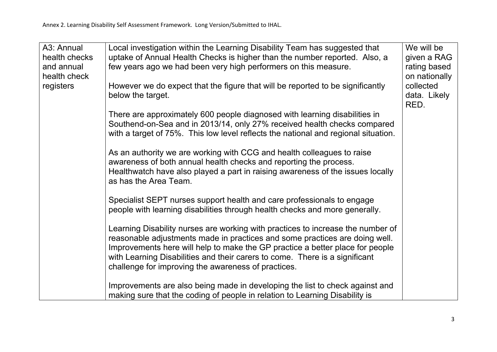| A3: Annual<br>health checks<br>and annual<br>health check | Local investigation within the Learning Disability Team has suggested that<br>uptake of Annual Health Checks is higher than the number reported. Also, a<br>few years ago we had been very high performers on this measure.                                                                                                                                                           | We will be<br>given a RAG<br>rating based<br>on nationally |
|-----------------------------------------------------------|---------------------------------------------------------------------------------------------------------------------------------------------------------------------------------------------------------------------------------------------------------------------------------------------------------------------------------------------------------------------------------------|------------------------------------------------------------|
| registers                                                 | However we do expect that the figure that will be reported to be significantly<br>below the target.                                                                                                                                                                                                                                                                                   | collected<br>data. Likely<br>RED.                          |
|                                                           | There are approximately 600 people diagnosed with learning disabilities in<br>Southend-on-Sea and in 2013/14, only 27% received health checks compared<br>with a target of 75%. This low level reflects the national and regional situation.                                                                                                                                          |                                                            |
|                                                           | As an authority we are working with CCG and health colleagues to raise<br>awareness of both annual health checks and reporting the process.<br>Healthwatch have also played a part in raising awareness of the issues locally<br>as has the Area Team.                                                                                                                                |                                                            |
|                                                           | Specialist SEPT nurses support health and care professionals to engage<br>people with learning disabilities through health checks and more generally.                                                                                                                                                                                                                                 |                                                            |
|                                                           | Learning Disability nurses are working with practices to increase the number of<br>reasonable adjustments made in practices and some practices are doing well.<br>Improvements here will help to make the GP practice a better place for people<br>with Learning Disabilities and their carers to come. There is a significant<br>challenge for improving the awareness of practices. |                                                            |
|                                                           | Improvements are also being made in developing the list to check against and<br>making sure that the coding of people in relation to Learning Disability is                                                                                                                                                                                                                           |                                                            |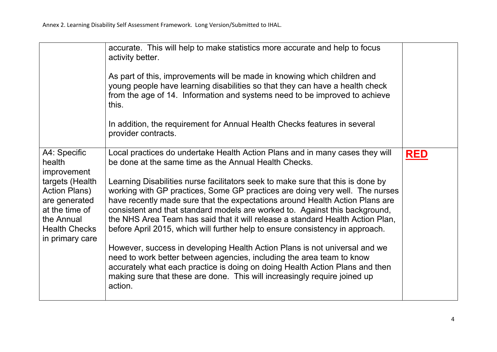|                                                                                                                                                                              | accurate. This will help to make statistics more accurate and help to focus<br>activity better.<br>As part of this, improvements will be made in knowing which children and<br>young people have learning disabilities so that they can have a health check<br>from the age of 14. Information and systems need to be improved to achieve<br>this.                                                                                                                                                                                                                                                                                                                                                                                                                                                                                                                                                                                                                        |            |
|------------------------------------------------------------------------------------------------------------------------------------------------------------------------------|---------------------------------------------------------------------------------------------------------------------------------------------------------------------------------------------------------------------------------------------------------------------------------------------------------------------------------------------------------------------------------------------------------------------------------------------------------------------------------------------------------------------------------------------------------------------------------------------------------------------------------------------------------------------------------------------------------------------------------------------------------------------------------------------------------------------------------------------------------------------------------------------------------------------------------------------------------------------------|------------|
|                                                                                                                                                                              | In addition, the requirement for Annual Health Checks features in several<br>provider contracts.                                                                                                                                                                                                                                                                                                                                                                                                                                                                                                                                                                                                                                                                                                                                                                                                                                                                          |            |
| A4: Specific<br>health<br>improvement<br>targets (Health<br><b>Action Plans)</b><br>are generated<br>at the time of<br>the Annual<br><b>Health Checks</b><br>in primary care | Local practices do undertake Health Action Plans and in many cases they will<br>be done at the same time as the Annual Health Checks.<br>Learning Disabilities nurse facilitators seek to make sure that this is done by<br>working with GP practices, Some GP practices are doing very well. The nurses<br>have recently made sure that the expectations around Health Action Plans are<br>consistent and that standard models are worked to. Against this background,<br>the NHS Area Team has said that it will release a standard Health Action Plan,<br>before April 2015, which will further help to ensure consistency in approach.<br>However, success in developing Health Action Plans is not universal and we<br>need to work better between agencies, including the area team to know<br>accurately what each practice is doing on doing Health Action Plans and then<br>making sure that these are done. This will increasingly require joined up<br>action. | <b>RED</b> |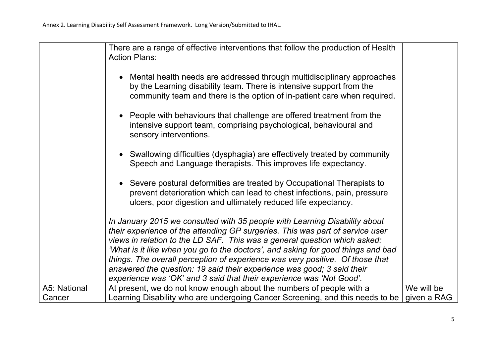|              | There are a range of effective interventions that follow the production of Health<br><b>Action Plans:</b>                                                                                                                                                                                                                                                                                                                                                                               |             |
|--------------|-----------------------------------------------------------------------------------------------------------------------------------------------------------------------------------------------------------------------------------------------------------------------------------------------------------------------------------------------------------------------------------------------------------------------------------------------------------------------------------------|-------------|
|              | Mental health needs are addressed through multidisciplinary approaches<br>$\bullet$<br>by the Learning disability team. There is intensive support from the<br>community team and there is the option of in-patient care when required.                                                                                                                                                                                                                                                 |             |
|              | People with behaviours that challenge are offered treatment from the<br>intensive support team, comprising psychological, behavioural and<br>sensory interventions.                                                                                                                                                                                                                                                                                                                     |             |
|              | • Swallowing difficulties (dysphagia) are effectively treated by community<br>Speech and Language therapists. This improves life expectancy.                                                                                                                                                                                                                                                                                                                                            |             |
|              | Severe postural deformities are treated by Occupational Therapists to<br>prevent deterioration which can lead to chest infections, pain, pressure<br>ulcers, poor digestion and ultimately reduced life expectancy.                                                                                                                                                                                                                                                                     |             |
|              | In January 2015 we consulted with 35 people with Learning Disability about<br>their experience of the attending GP surgeries. This was part of service user<br>views in relation to the LD SAF. This was a general question which asked:<br>'What is it like when you go to the doctors', and asking for good things and bad<br>things. The overall perception of experience was very positive. Of those that<br>answered the question: 19 said their experience was good; 3 said their |             |
|              | experience was 'OK' and 3 said that their experience was 'Not Good'.                                                                                                                                                                                                                                                                                                                                                                                                                    |             |
| A5: National | At present, we do not know enough about the numbers of people with a                                                                                                                                                                                                                                                                                                                                                                                                                    | We will be  |
| Cancer       | Learning Disability who are undergoing Cancer Screening, and this needs to be $\vert$                                                                                                                                                                                                                                                                                                                                                                                                   | given a RAG |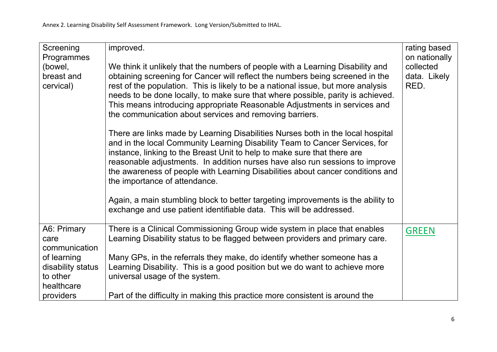| Screening<br>Programmes<br>(bowel,<br>breast and<br>cervical)                                                   | improved.<br>We think it unlikely that the numbers of people with a Learning Disability and<br>obtaining screening for Cancer will reflect the numbers being screened in the<br>rest of the population. This is likely to be a national issue, but more analysis<br>needs to be done locally, to make sure that where possible, parity is achieved.<br>This means introducing appropriate Reasonable Adjustments in services and<br>the communication about services and removing barriers.<br>There are links made by Learning Disabilities Nurses both in the local hospital<br>and in the local Community Learning Disability Team to Cancer Services, for<br>instance, linking to the Breast Unit to help to make sure that there are<br>reasonable adjustments. In addition nurses have also run sessions to improve<br>the awareness of people with Learning Disabilities about cancer conditions and<br>the importance of attendance.<br>Again, a main stumbling block to better targeting improvements is the ability to<br>exchange and use patient identifiable data. This will be addressed. | rating based<br>on nationally<br>collected<br>data. Likely<br>RED. |
|-----------------------------------------------------------------------------------------------------------------|---------------------------------------------------------------------------------------------------------------------------------------------------------------------------------------------------------------------------------------------------------------------------------------------------------------------------------------------------------------------------------------------------------------------------------------------------------------------------------------------------------------------------------------------------------------------------------------------------------------------------------------------------------------------------------------------------------------------------------------------------------------------------------------------------------------------------------------------------------------------------------------------------------------------------------------------------------------------------------------------------------------------------------------------------------------------------------------------------------|--------------------------------------------------------------------|
| A6: Primary<br>care<br>communication<br>of learning<br>disability status<br>to other<br>healthcare<br>providers | There is a Clinical Commissioning Group wide system in place that enables<br>Learning Disability status to be flagged between providers and primary care.<br>Many GPs, in the referrals they make, do identify whether someone has a<br>Learning Disability. This is a good position but we do want to achieve more<br>universal usage of the system.<br>Part of the difficulty in making this practice more consistent is around the                                                                                                                                                                                                                                                                                                                                                                                                                                                                                                                                                                                                                                                                   | <b>GREEN</b>                                                       |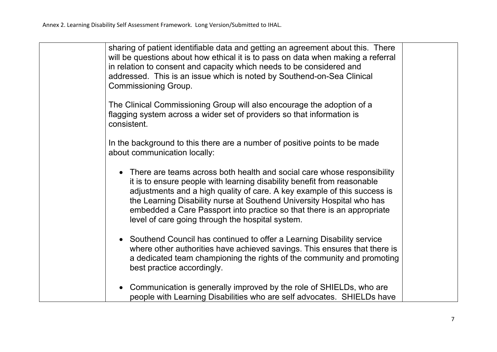| sharing of patient identifiable data and getting an agreement about this. There<br>will be questions about how ethical it is to pass on data when making a referral<br>in relation to consent and capacity which needs to be considered and<br>addressed. This is an issue which is noted by Southend-on-Sea Clinical<br><b>Commissioning Group.</b>                                                                                    |  |
|-----------------------------------------------------------------------------------------------------------------------------------------------------------------------------------------------------------------------------------------------------------------------------------------------------------------------------------------------------------------------------------------------------------------------------------------|--|
| The Clinical Commissioning Group will also encourage the adoption of a<br>flagging system across a wider set of providers so that information is<br>consistent.                                                                                                                                                                                                                                                                         |  |
| In the background to this there are a number of positive points to be made<br>about communication locally:                                                                                                                                                                                                                                                                                                                              |  |
| • There are teams across both health and social care whose responsibility<br>it is to ensure people with learning disability benefit from reasonable<br>adjustments and a high quality of care. A key example of this success is<br>the Learning Disability nurse at Southend University Hospital who has<br>embedded a Care Passport into practice so that there is an appropriate<br>level of care going through the hospital system. |  |
| • Southend Council has continued to offer a Learning Disability service<br>where other authorities have achieved savings. This ensures that there is<br>a dedicated team championing the rights of the community and promoting<br>best practice accordingly.                                                                                                                                                                            |  |
| • Communication is generally improved by the role of SHIELDs, who are<br>people with Learning Disabilities who are self advocates. SHIELDs have                                                                                                                                                                                                                                                                                         |  |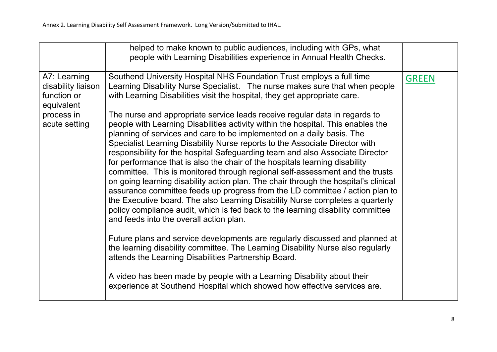|                                                                                                | helped to make known to public audiences, including with GPs, what<br>people with Learning Disabilities experience in Annual Health Checks.                                                                                                                                                                                                                                                                                                                                                                                                                                                                                                                                                                                                                                                                                                                                                                                                                                                                                                                                                                                                                                                                                                                                                                                                                                                                                  |              |
|------------------------------------------------------------------------------------------------|------------------------------------------------------------------------------------------------------------------------------------------------------------------------------------------------------------------------------------------------------------------------------------------------------------------------------------------------------------------------------------------------------------------------------------------------------------------------------------------------------------------------------------------------------------------------------------------------------------------------------------------------------------------------------------------------------------------------------------------------------------------------------------------------------------------------------------------------------------------------------------------------------------------------------------------------------------------------------------------------------------------------------------------------------------------------------------------------------------------------------------------------------------------------------------------------------------------------------------------------------------------------------------------------------------------------------------------------------------------------------------------------------------------------------|--------------|
| A7: Learning<br>disability liaison<br>function or<br>equivalent<br>process in<br>acute setting | Southend University Hospital NHS Foundation Trust employs a full time<br>Learning Disability Nurse Specialist. The nurse makes sure that when people<br>with Learning Disabilities visit the hospital, they get appropriate care.<br>The nurse and appropriate service leads receive regular data in regards to<br>people with Learning Disabilities activity within the hospital. This enables the<br>planning of services and care to be implemented on a daily basis. The<br>Specialist Learning Disability Nurse reports to the Associate Director with<br>responsibility for the hospital Safeguarding team and also Associate Director<br>for performance that is also the chair of the hospitals learning disability<br>committee. This is monitored through regional self-assessment and the trusts<br>on going learning disability action plan. The chair through the hospital's clinical<br>assurance committee feeds up progress from the LD committee / action plan to<br>the Executive board. The also Learning Disability Nurse completes a quarterly<br>policy compliance audit, which is fed back to the learning disability committee<br>and feeds into the overall action plan.<br>Future plans and service developments are regularly discussed and planned at<br>the learning disability committee. The Learning Disability Nurse also regularly<br>attends the Learning Disabilities Partnership Board. | <b>GREEN</b> |
|                                                                                                | A video has been made by people with a Learning Disability about their<br>experience at Southend Hospital which showed how effective services are.                                                                                                                                                                                                                                                                                                                                                                                                                                                                                                                                                                                                                                                                                                                                                                                                                                                                                                                                                                                                                                                                                                                                                                                                                                                                           |              |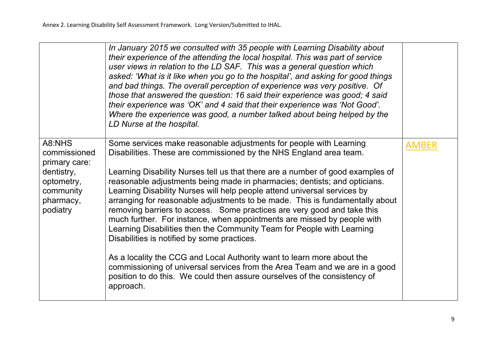|                                                                                                           | In January 2015 we consulted with 35 people with Learning Disability about<br>their experience of the attending the local hospital. This was part of service<br>user views in relation to the LD SAF. This was a general question which<br>asked: 'What is it like when you go to the hospital', and asking for good things<br>and bad things. The overall perception of experience was very positive. Of<br>those that answered the question: 16 said their experience was good; 4 said<br>their experience was 'OK' and 4 said that their experience was 'Not Good'.<br>Where the experience was good, a number talked about being helped by the<br>LD Nurse at the hospital.                                                                                                                                              |              |
|-----------------------------------------------------------------------------------------------------------|------------------------------------------------------------------------------------------------------------------------------------------------------------------------------------------------------------------------------------------------------------------------------------------------------------------------------------------------------------------------------------------------------------------------------------------------------------------------------------------------------------------------------------------------------------------------------------------------------------------------------------------------------------------------------------------------------------------------------------------------------------------------------------------------------------------------------|--------------|
| A8:NHS<br>commissioned<br>primary care:<br>dentistry,<br>optometry,<br>community<br>pharmacy,<br>podiatry | Some services make reasonable adjustments for people with Learning<br>Disabilities. These are commissioned by the NHS England area team.<br>Learning Disability Nurses tell us that there are a number of good examples of<br>reasonable adjustments being made in pharmacies; dentists; and opticians.<br>Learning Disability Nurses will help people attend universal services by<br>arranging for reasonable adjustments to be made. This is fundamentally about<br>removing barriers to access. Some practices are very good and take this<br>much further. For instance, when appointments are missed by people with<br>Learning Disabilities then the Community Team for People with Learning<br>Disabilities is notified by some practices.<br>As a locality the CCG and Local Authority want to learn more about the | <b>AMBER</b> |
|                                                                                                           | commissioning of universal services from the Area Team and we are in a good<br>position to do this. We could then assure ourselves of the consistency of<br>approach.                                                                                                                                                                                                                                                                                                                                                                                                                                                                                                                                                                                                                                                        |              |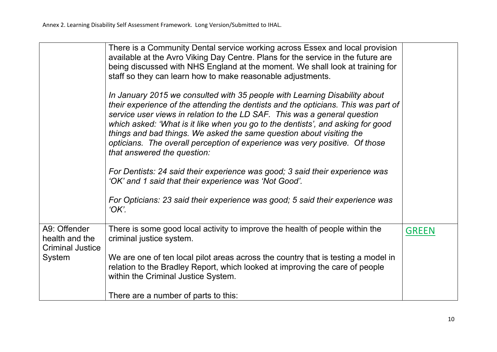|                                                                     | There is a Community Dental service working across Essex and local provision<br>available at the Avro Viking Day Centre. Plans for the service in the future are<br>being discussed with NHS England at the moment. We shall look at training for<br>staff so they can learn how to make reasonable adjustments.<br>In January 2015 we consulted with 35 people with Learning Disability about<br>their experience of the attending the dentists and the opticians. This was part of<br>service user views in relation to the LD SAF. This was a general question<br>which asked: 'What is it like when you go to the dentists', and asking for good<br>things and bad things. We asked the same question about visiting the<br>opticians. The overall perception of experience was very positive. Of those<br>that answered the question:<br>For Dentists: 24 said their experience was good; 3 said their experience was<br>'OK' and 1 said that their experience was 'Not Good'.<br>For Opticians: 23 said their experience was good; 5 said their experience was<br>'OK'. |              |
|---------------------------------------------------------------------|-------------------------------------------------------------------------------------------------------------------------------------------------------------------------------------------------------------------------------------------------------------------------------------------------------------------------------------------------------------------------------------------------------------------------------------------------------------------------------------------------------------------------------------------------------------------------------------------------------------------------------------------------------------------------------------------------------------------------------------------------------------------------------------------------------------------------------------------------------------------------------------------------------------------------------------------------------------------------------------------------------------------------------------------------------------------------------|--------------|
| A9: Offender<br>health and the<br><b>Criminal Justice</b><br>System | There is some good local activity to improve the health of people within the<br>criminal justice system.<br>We are one of ten local pilot areas across the country that is testing a model in<br>relation to the Bradley Report, which looked at improving the care of people<br>within the Criminal Justice System.                                                                                                                                                                                                                                                                                                                                                                                                                                                                                                                                                                                                                                                                                                                                                          | <b>GREEN</b> |
|                                                                     | There are a number of parts to this:                                                                                                                                                                                                                                                                                                                                                                                                                                                                                                                                                                                                                                                                                                                                                                                                                                                                                                                                                                                                                                          |              |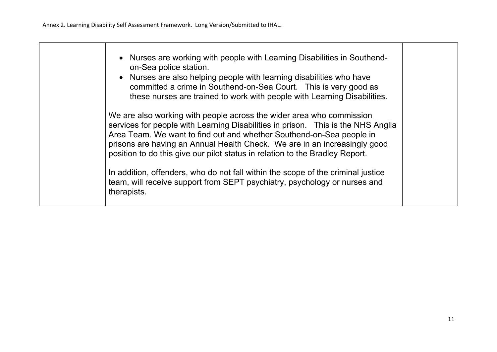| • Nurses are working with people with Learning Disabilities in Southend-<br>on-Sea police station.<br>• Nurses are also helping people with learning disabilities who have<br>committed a crime in Southend-on-Sea Court. This is very good as<br>these nurses are trained to work with people with Learning Disabilities.                                                                                                                                                                                                                                                    |  |
|-------------------------------------------------------------------------------------------------------------------------------------------------------------------------------------------------------------------------------------------------------------------------------------------------------------------------------------------------------------------------------------------------------------------------------------------------------------------------------------------------------------------------------------------------------------------------------|--|
| We are also working with people across the wider area who commission<br>services for people with Learning Disabilities in prison. This is the NHS Anglia<br>Area Team. We want to find out and whether Southend-on-Sea people in<br>prisons are having an Annual Health Check. We are in an increasingly good<br>position to do this give our pilot status in relation to the Bradley Report.<br>In addition, offenders, who do not fall within the scope of the criminal justice<br>team, will receive support from SEPT psychiatry, psychology or nurses and<br>therapists. |  |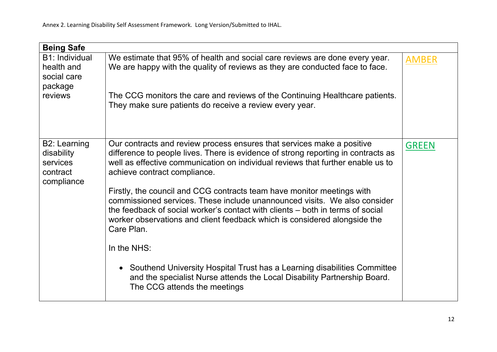| <b>Being Safe</b>                                                 |                                                                                                                                                                                                                                                                                                                                                                                                                                                                                                                                                                                                                                                                                                                                                                                                                             |              |
|-------------------------------------------------------------------|-----------------------------------------------------------------------------------------------------------------------------------------------------------------------------------------------------------------------------------------------------------------------------------------------------------------------------------------------------------------------------------------------------------------------------------------------------------------------------------------------------------------------------------------------------------------------------------------------------------------------------------------------------------------------------------------------------------------------------------------------------------------------------------------------------------------------------|--------------|
| B1: Individual<br>health and<br>social care<br>package<br>reviews | We estimate that 95% of health and social care reviews are done every year.<br>We are happy with the quality of reviews as they are conducted face to face.<br>The CCG monitors the care and reviews of the Continuing Healthcare patients.<br>They make sure patients do receive a review every year.                                                                                                                                                                                                                                                                                                                                                                                                                                                                                                                      | <b>AMBER</b> |
| B2: Learning<br>disability<br>services<br>contract<br>compliance  | Our contracts and review process ensures that services make a positive<br>difference to people lives. There is evidence of strong reporting in contracts as<br>well as effective communication on individual reviews that further enable us to<br>achieve contract compliance.<br>Firstly, the council and CCG contracts team have monitor meetings with<br>commissioned services. These include unannounced visits. We also consider<br>the feedback of social worker's contact with clients – both in terms of social<br>worker observations and client feedback which is considered alongside the<br>Care Plan.<br>In the NHS:<br>• Southend University Hospital Trust has a Learning disabilities Committee<br>and the specialist Nurse attends the Local Disability Partnership Board.<br>The CCG attends the meetings | <b>GREEN</b> |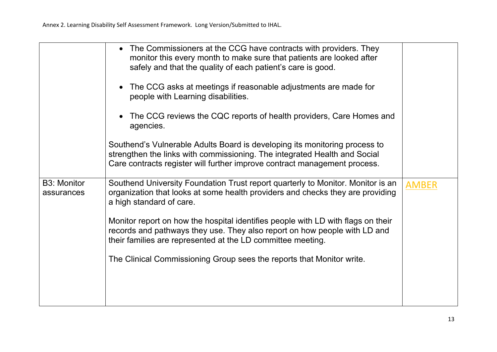|                                  | • The Commissioners at the CCG have contracts with providers. They<br>monitor this every month to make sure that patients are looked after<br>safely and that the quality of each patient's care is good.<br>• The CCG asks at meetings if reasonable adjustments are made for<br>people with Learning disabilities.<br>The CCG reviews the CQC reports of health providers, Care Homes and<br>agencies.<br>Southend's Vulnerable Adults Board is developing its monitoring process to<br>strengthen the links with commissioning. The integrated Health and Social<br>Care contracts register will further improve contract management process. |              |
|----------------------------------|--------------------------------------------------------------------------------------------------------------------------------------------------------------------------------------------------------------------------------------------------------------------------------------------------------------------------------------------------------------------------------------------------------------------------------------------------------------------------------------------------------------------------------------------------------------------------------------------------------------------------------------------------|--------------|
| <b>B3: Monitor</b><br>assurances | Southend University Foundation Trust report quarterly to Monitor. Monitor is an<br>organization that looks at some health providers and checks they are providing<br>a high standard of care.<br>Monitor report on how the hospital identifies people with LD with flags on their<br>records and pathways they use. They also report on how people with LD and<br>their families are represented at the LD committee meeting.<br>The Clinical Commissioning Group sees the reports that Monitor write.                                                                                                                                           | <b>AMBER</b> |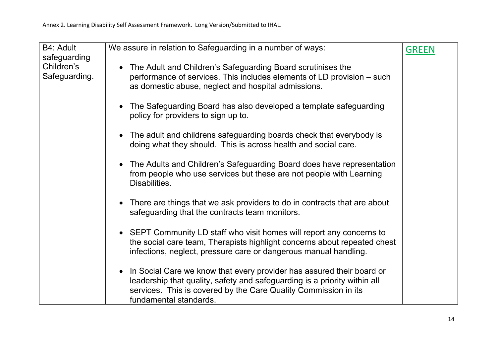| B4: Adult<br>safeguarding   | We assure in relation to Safeguarding in a number of ways:                                                                                                                                                                                        | <b>GREEN</b> |
|-----------------------------|---------------------------------------------------------------------------------------------------------------------------------------------------------------------------------------------------------------------------------------------------|--------------|
| Children's<br>Safeguarding. | • The Adult and Children's Safeguarding Board scrutinises the<br>performance of services. This includes elements of LD provision – such<br>as domestic abuse, neglect and hospital admissions.                                                    |              |
|                             | • The Safeguarding Board has also developed a template safeguarding<br>policy for providers to sign up to.                                                                                                                                        |              |
|                             | • The adult and childrens safeguarding boards check that everybody is<br>doing what they should. This is across health and social care.                                                                                                           |              |
|                             | • The Adults and Children's Safeguarding Board does have representation<br>from people who use services but these are not people with Learning<br>Disabilities.                                                                                   |              |
|                             | • There are things that we ask providers to do in contracts that are about<br>safeguarding that the contracts team monitors.                                                                                                                      |              |
|                             | • SEPT Community LD staff who visit homes will report any concerns to<br>the social care team, Therapists highlight concerns about repeated chest<br>infections, neglect, pressure care or dangerous manual handling.                             |              |
|                             | • In Social Care we know that every provider has assured their board or<br>leadership that quality, safety and safeguarding is a priority within all<br>services. This is covered by the Care Quality Commission in its<br>fundamental standards. |              |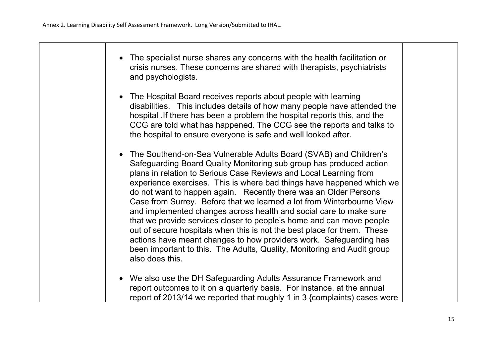| • The specialist nurse shares any concerns with the health facilitation or<br>crisis nurses. These concerns are shared with therapists, psychiatrists<br>and psychologists.                                                                                                                                                                                                                                                                                                                                                                                                                                                                                                                                                                                                                                                        |
|------------------------------------------------------------------------------------------------------------------------------------------------------------------------------------------------------------------------------------------------------------------------------------------------------------------------------------------------------------------------------------------------------------------------------------------------------------------------------------------------------------------------------------------------------------------------------------------------------------------------------------------------------------------------------------------------------------------------------------------------------------------------------------------------------------------------------------|
| • The Hospital Board receives reports about people with learning<br>disabilities. This includes details of how many people have attended the<br>hospital. If there has been a problem the hospital reports this, and the<br>CCG are told what has happened. The CCG see the reports and talks to<br>the hospital to ensure everyone is safe and well looked after.                                                                                                                                                                                                                                                                                                                                                                                                                                                                 |
| • The Southend-on-Sea Vulnerable Adults Board (SVAB) and Children's<br>Safeguarding Board Quality Monitoring sub group has produced action<br>plans in relation to Serious Case Reviews and Local Learning from<br>experience exercises. This is where bad things have happened which we<br>do not want to happen again. Recently there was an Older Persons<br>Case from Surrey. Before that we learned a lot from Winterbourne View<br>and implemented changes across health and social care to make sure<br>that we provide services closer to people's home and can move people<br>out of secure hospitals when this is not the best place for them. These<br>actions have meant changes to how providers work. Safeguarding has<br>been important to this. The Adults, Quality, Monitoring and Audit group<br>also does this. |
| • We also use the DH Safeguarding Adults Assurance Framework and<br>report outcomes to it on a quarterly basis. For instance, at the annual<br>report of 2013/14 we reported that roughly 1 in 3 {complaints) cases were                                                                                                                                                                                                                                                                                                                                                                                                                                                                                                                                                                                                           |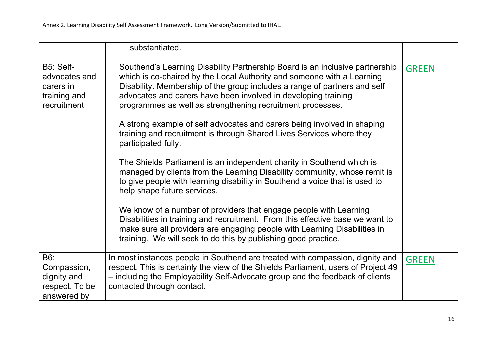|                                                                        | substantiated.                                                                                                                                                                                                                                                                                                                                                                                                                                                                                                                                                                                                                                                                                                                                                                                                    |              |
|------------------------------------------------------------------------|-------------------------------------------------------------------------------------------------------------------------------------------------------------------------------------------------------------------------------------------------------------------------------------------------------------------------------------------------------------------------------------------------------------------------------------------------------------------------------------------------------------------------------------------------------------------------------------------------------------------------------------------------------------------------------------------------------------------------------------------------------------------------------------------------------------------|--------------|
| B5: Self-<br>advocates and<br>carers in<br>training and<br>recruitment | Southend's Learning Disability Partnership Board is an inclusive partnership<br>which is co-chaired by the Local Authority and someone with a Learning<br>Disability. Membership of the group includes a range of partners and self<br>advocates and carers have been involved in developing training<br>programmes as well as strengthening recruitment processes.<br>A strong example of self advocates and carers being involved in shaping<br>training and recruitment is through Shared Lives Services where they<br>participated fully.<br>The Shields Parliament is an independent charity in Southend which is<br>managed by clients from the Learning Disability community, whose remit is<br>to give people with learning disability in Southend a voice that is used to<br>help shape future services. | <b>GREEN</b> |
|                                                                        | We know of a number of providers that engage people with Learning<br>Disabilities in training and recruitment. From this effective base we want to<br>make sure all providers are engaging people with Learning Disabilities in<br>training. We will seek to do this by publishing good practice.                                                                                                                                                                                                                                                                                                                                                                                                                                                                                                                 |              |
| B6:<br>Compassion,<br>dignity and<br>respect. To be<br>answered by     | In most instances people in Southend are treated with compassion, dignity and<br>respect. This is certainly the view of the Shields Parliament, users of Project 49<br>- including the Employability Self-Advocate group and the feedback of clients<br>contacted through contact.                                                                                                                                                                                                                                                                                                                                                                                                                                                                                                                                | <b>GREEN</b> |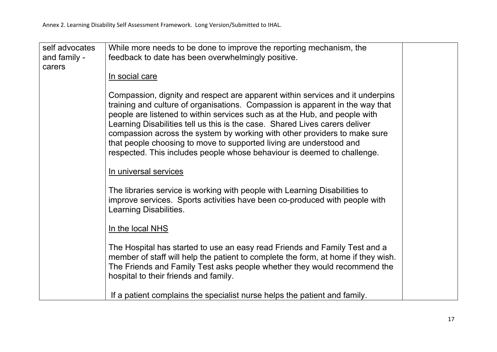| self advocates<br>and family - | While more needs to be done to improve the reporting mechanism, the<br>feedback to date has been overwhelmingly positive.                                                                                                                                                                                                                                                                                                                                                                                                                                  |  |
|--------------------------------|------------------------------------------------------------------------------------------------------------------------------------------------------------------------------------------------------------------------------------------------------------------------------------------------------------------------------------------------------------------------------------------------------------------------------------------------------------------------------------------------------------------------------------------------------------|--|
| carers                         | In social care                                                                                                                                                                                                                                                                                                                                                                                                                                                                                                                                             |  |
|                                | Compassion, dignity and respect are apparent within services and it underpins<br>training and culture of organisations. Compassion is apparent in the way that<br>people are listened to within services such as at the Hub, and people with<br>Learning Disabilities tell us this is the case. Shared Lives carers deliver<br>compassion across the system by working with other providers to make sure<br>that people choosing to move to supported living are understood and<br>respected. This includes people whose behaviour is deemed to challenge. |  |
|                                | In universal services                                                                                                                                                                                                                                                                                                                                                                                                                                                                                                                                      |  |
|                                | The libraries service is working with people with Learning Disabilities to<br>improve services. Sports activities have been co-produced with people with<br>Learning Disabilities.                                                                                                                                                                                                                                                                                                                                                                         |  |
|                                | In the local NHS                                                                                                                                                                                                                                                                                                                                                                                                                                                                                                                                           |  |
|                                | The Hospital has started to use an easy read Friends and Family Test and a<br>member of staff will help the patient to complete the form, at home if they wish.<br>The Friends and Family Test asks people whether they would recommend the<br>hospital to their friends and family.                                                                                                                                                                                                                                                                       |  |
|                                | If a patient complains the specialist nurse helps the patient and family.                                                                                                                                                                                                                                                                                                                                                                                                                                                                                  |  |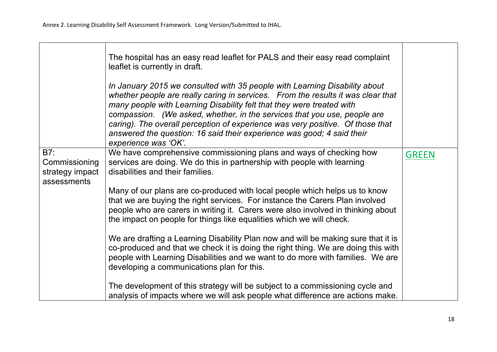$\Gamma$ 

|                                                        | The hospital has an easy read leaflet for PALS and their easy read complaint<br>leaflet is currently in draft.<br>In January 2015 we consulted with 35 people with Learning Disability about<br>whether people are really caring in services. From the results it was clear that<br>many people with Learning Disability felt that they were treated with<br>compassion. (We asked, whether, in the services that you use, people are<br>caring). The overall perception of experience was very positive. Of those that<br>answered the question: 16 said their experience was good; 4 said their<br>experience was 'OK'.                                                                                                                                                                                                                                                                                                                                                                |              |
|--------------------------------------------------------|------------------------------------------------------------------------------------------------------------------------------------------------------------------------------------------------------------------------------------------------------------------------------------------------------------------------------------------------------------------------------------------------------------------------------------------------------------------------------------------------------------------------------------------------------------------------------------------------------------------------------------------------------------------------------------------------------------------------------------------------------------------------------------------------------------------------------------------------------------------------------------------------------------------------------------------------------------------------------------------|--------------|
| B7:<br>Commissioning<br>strategy impact<br>assessments | We have comprehensive commissioning plans and ways of checking how<br>services are doing. We do this in partnership with people with learning<br>disabilities and their families.<br>Many of our plans are co-produced with local people which helps us to know<br>that we are buying the right services. For instance the Carers Plan involved<br>people who are carers in writing it. Carers were also involved in thinking about<br>the impact on people for things like equalities which we will check.<br>We are drafting a Learning Disability Plan now and will be making sure that it is<br>co-produced and that we check it is doing the right thing. We are doing this with<br>people with Learning Disabilities and we want to do more with families. We are<br>developing a communications plan for this.<br>The development of this strategy will be subject to a commissioning cycle and<br>analysis of impacts where we will ask people what difference are actions make. | <b>GREEN</b> |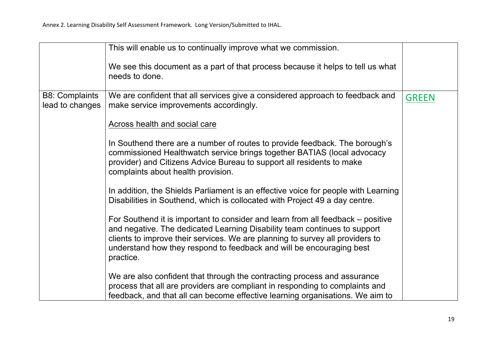|                                          | This will enable us to continually improve what we commission.                                                                                                                                                                                                                                                                     |              |
|------------------------------------------|------------------------------------------------------------------------------------------------------------------------------------------------------------------------------------------------------------------------------------------------------------------------------------------------------------------------------------|--------------|
|                                          | We see this document as a part of that process because it helps to tell us what<br>needs to done.                                                                                                                                                                                                                                  |              |
| <b>B8: Complaints</b><br>lead to changes | We are confident that all services give a considered approach to feedback and<br>make service improvements accordingly.                                                                                                                                                                                                            | <b>GREEN</b> |
|                                          | Across health and social care                                                                                                                                                                                                                                                                                                      |              |
|                                          | In Southend there are a number of routes to provide feedback. The borough's<br>commissioned Healthwatch service brings together BATIAS (local advocacy<br>provider) and Citizens Advice Bureau to support all residents to make<br>complaints about health provision.                                                              |              |
|                                          | In addition, the Shields Parliament is an effective voice for people with Learning<br>Disabilities in Southend, which is collocated with Project 49 a day centre.                                                                                                                                                                  |              |
|                                          | For Southend it is important to consider and learn from all feedback – positive<br>and negative. The dedicated Learning Disability team continues to support<br>clients to improve their services. We are planning to survey all providers to<br>understand how they respond to feedback and will be encouraging best<br>practice. |              |
|                                          | We are also confident that through the contracting process and assurance<br>process that all are providers are compliant in responding to complaints and<br>feedback, and that all can become effective learning organisations. We aim to                                                                                          |              |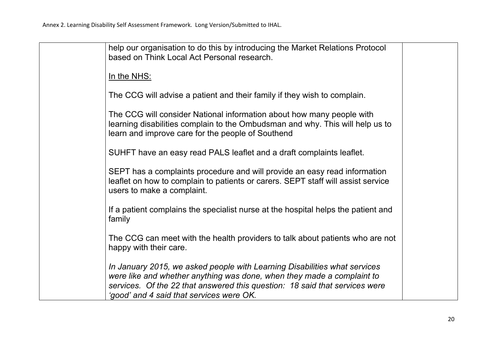| help our organisation to do this by introducing the Market Relations Protocol<br>based on Think Local Act Personal research.                                                                                                                                                   |
|--------------------------------------------------------------------------------------------------------------------------------------------------------------------------------------------------------------------------------------------------------------------------------|
| In the NHS:                                                                                                                                                                                                                                                                    |
| The CCG will advise a patient and their family if they wish to complain.                                                                                                                                                                                                       |
| The CCG will consider National information about how many people with<br>learning disabilities complain to the Ombudsman and why. This will help us to<br>learn and improve care for the people of Southend                                                                    |
| SUHFT have an easy read PALS leaflet and a draft complaints leaflet.                                                                                                                                                                                                           |
| SEPT has a complaints procedure and will provide an easy read information<br>leaflet on how to complain to patients or carers. SEPT staff will assist service<br>users to make a complaint.                                                                                    |
| If a patient complains the specialist nurse at the hospital helps the patient and<br>family                                                                                                                                                                                    |
| The CCG can meet with the health providers to talk about patients who are not<br>happy with their care.                                                                                                                                                                        |
| In January 2015, we asked people with Learning Disabilities what services<br>were like and whether anything was done, when they made a complaint to<br>services. Of the 22 that answered this question: 18 said that services were<br>'good' and 4 said that services were OK. |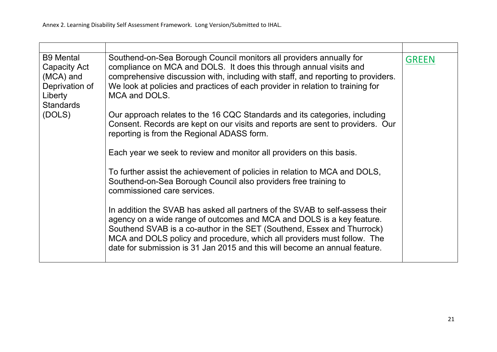| <b>B9 Mental</b><br><b>Capacity Act</b><br>$(MCA)$ and<br>Deprivation of<br>Liberty<br><b>Standards</b><br>(DOLS) | Southend-on-Sea Borough Council monitors all providers annually for<br>compliance on MCA and DOLS. It does this through annual visits and<br>comprehensive discussion with, including with staff, and reporting to providers.<br>We look at policies and practices of each provider in relation to training for<br>MCA and DOLS.<br>Our approach relates to the 16 CQC Standards and its categories, including | <b>GREEN</b> |
|-------------------------------------------------------------------------------------------------------------------|----------------------------------------------------------------------------------------------------------------------------------------------------------------------------------------------------------------------------------------------------------------------------------------------------------------------------------------------------------------------------------------------------------------|--------------|
|                                                                                                                   | Consent. Records are kept on our visits and reports are sent to providers. Our<br>reporting is from the Regional ADASS form.<br>Each year we seek to review and monitor all providers on this basis.                                                                                                                                                                                                           |              |
|                                                                                                                   | To further assist the achievement of policies in relation to MCA and DOLS,<br>Southend-on-Sea Borough Council also providers free training to<br>commissioned care services.                                                                                                                                                                                                                                   |              |
|                                                                                                                   | In addition the SVAB has asked all partners of the SVAB to self-assess their<br>agency on a wide range of outcomes and MCA and DOLS is a key feature.<br>Southend SVAB is a co-author in the SET (Southend, Essex and Thurrock)<br>MCA and DOLS policy and procedure, which all providers must follow. The<br>date for submission is 31 Jan 2015 and this will become an annual feature.                       |              |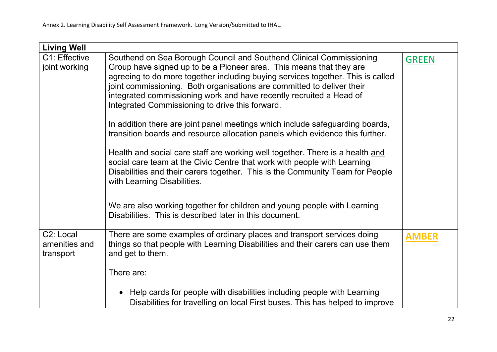| <b>Living Well</b>                                   |                                                                                                                                                                                                                                                                                                                                                                                                                                                                                                                                                                                                                                                                                                                                                                                                                                                                                                                                                                                                                         |              |
|------------------------------------------------------|-------------------------------------------------------------------------------------------------------------------------------------------------------------------------------------------------------------------------------------------------------------------------------------------------------------------------------------------------------------------------------------------------------------------------------------------------------------------------------------------------------------------------------------------------------------------------------------------------------------------------------------------------------------------------------------------------------------------------------------------------------------------------------------------------------------------------------------------------------------------------------------------------------------------------------------------------------------------------------------------------------------------------|--------------|
| C1: Effective<br>joint working                       | Southend on Sea Borough Council and Southend Clinical Commissioning<br>Group have signed up to be a Pioneer area. This means that they are<br>agreeing to do more together including buying services together. This is called<br>joint commissioning. Both organisations are committed to deliver their<br>integrated commissioning work and have recently recruited a Head of<br>Integrated Commissioning to drive this forward.<br>In addition there are joint panel meetings which include safeguarding boards,<br>transition boards and resource allocation panels which evidence this further.<br>Health and social care staff are working well together. There is a health and<br>social care team at the Civic Centre that work with people with Learning<br>Disabilities and their carers together. This is the Community Team for People<br>with Learning Disabilities.<br>We are also working together for children and young people with Learning<br>Disabilities. This is described later in this document. | <b>GREEN</b> |
| C <sub>2</sub> : Local<br>amenities and<br>transport | There are some examples of ordinary places and transport services doing<br>things so that people with Learning Disabilities and their carers can use them<br>and get to them.<br>There are:                                                                                                                                                                                                                                                                                                                                                                                                                                                                                                                                                                                                                                                                                                                                                                                                                             | <b>AMBER</b> |
|                                                      | Help cards for people with disabilities including people with Learning<br>$\bullet$<br>Disabilities for travelling on local First buses. This has helped to improve                                                                                                                                                                                                                                                                                                                                                                                                                                                                                                                                                                                                                                                                                                                                                                                                                                                     |              |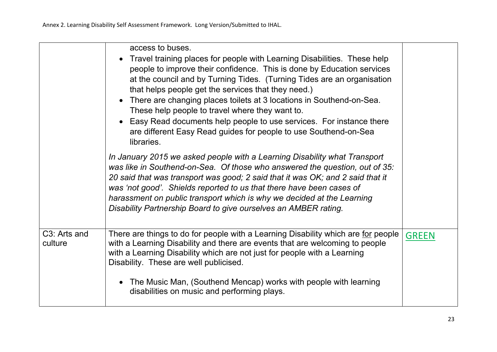|                                      | access to buses.<br>• Travel training places for people with Learning Disabilities. These help<br>people to improve their confidence. This is done by Education services<br>at the council and by Turning Tides. (Turning Tides are an organisation<br>that helps people get the services that they need.)<br>There are changing places toilets at 3 locations in Southend-on-Sea.<br>$\bullet$<br>These help people to travel where they want to.<br>Easy Read documents help people to use services. For instance there<br>$\bullet$<br>are different Easy Read guides for people to use Southend-on-Sea<br>libraries. |              |
|--------------------------------------|--------------------------------------------------------------------------------------------------------------------------------------------------------------------------------------------------------------------------------------------------------------------------------------------------------------------------------------------------------------------------------------------------------------------------------------------------------------------------------------------------------------------------------------------------------------------------------------------------------------------------|--------------|
|                                      | In January 2015 we asked people with a Learning Disability what Transport<br>was like in Southend-on-Sea. Of those who answered the question, out of 35:<br>20 said that was transport was good; 2 said that it was OK; and 2 said that it<br>was 'not good'. Shields reported to us that there have been cases of<br>harassment on public transport which is why we decided at the Learning<br>Disability Partnership Board to give ourselves an AMBER rating.                                                                                                                                                          |              |
| C <sub>3</sub> : Arts and<br>culture | There are things to do for people with a Learning Disability which are for people<br>with a Learning Disability and there are events that are welcoming to people<br>with a Learning Disability which are not just for people with a Learning<br>Disability. These are well publicised.<br>The Music Man, (Southend Mencap) works with people with learning<br>$\bullet$<br>disabilities on music and performing plays.                                                                                                                                                                                                  | <b>GREEN</b> |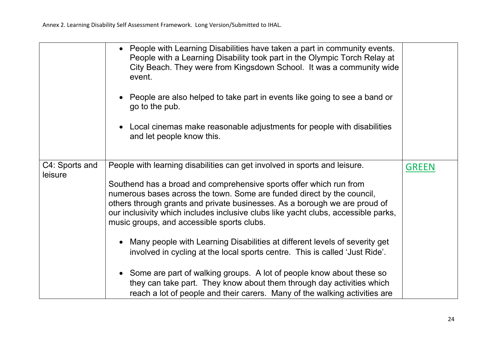|                           | • People with Learning Disabilities have taken a part in community events.<br>People with a Learning Disability took part in the Olympic Torch Relay at<br>City Beach. They were from Kingsdown School. It was a community wide<br>event.<br>People are also helped to take part in events like going to see a band or<br>go to the pub.<br>Local cinemas make reasonable adjustments for people with disabilities<br>and let people know this. |              |
|---------------------------|-------------------------------------------------------------------------------------------------------------------------------------------------------------------------------------------------------------------------------------------------------------------------------------------------------------------------------------------------------------------------------------------------------------------------------------------------|--------------|
|                           |                                                                                                                                                                                                                                                                                                                                                                                                                                                 |              |
| C4: Sports and<br>leisure | People with learning disabilities can get involved in sports and leisure.                                                                                                                                                                                                                                                                                                                                                                       | <b>GREEN</b> |
|                           | Southend has a broad and comprehensive sports offer which run from<br>numerous bases across the town. Some are funded direct by the council,<br>others through grants and private businesses. As a borough we are proud of<br>our inclusivity which includes inclusive clubs like yacht clubs, accessible parks,<br>music groups, and accessible sports clubs.                                                                                  |              |
|                           | Many people with Learning Disabilities at different levels of severity get<br>involved in cycling at the local sports centre. This is called 'Just Ride'.                                                                                                                                                                                                                                                                                       |              |
|                           | • Some are part of walking groups. A lot of people know about these so<br>they can take part. They know about them through day activities which<br>reach a lot of people and their carers. Many of the walking activities are                                                                                                                                                                                                                   |              |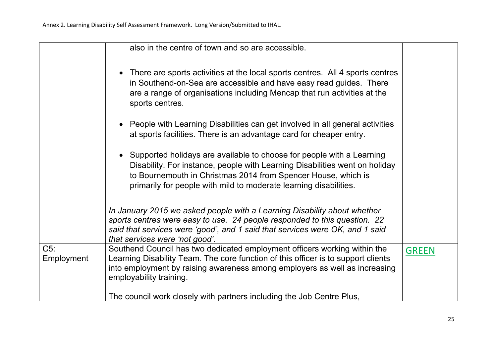|                      | also in the centre of town and so are accessible.                                                                                                                                                                                                                                                       |              |
|----------------------|---------------------------------------------------------------------------------------------------------------------------------------------------------------------------------------------------------------------------------------------------------------------------------------------------------|--------------|
|                      | • There are sports activities at the local sports centres. All 4 sports centres<br>in Southend-on-Sea are accessible and have easy read guides. There<br>are a range of organisations including Mencap that run activities at the<br>sports centres.                                                    |              |
|                      | People with Learning Disabilities can get involved in all general activities<br>$\bullet$<br>at sports facilities. There is an advantage card for cheaper entry.                                                                                                                                        |              |
|                      | Supported holidays are available to choose for people with a Learning<br>$\bullet$<br>Disability. For instance, people with Learning Disabilities went on holiday<br>to Bournemouth in Christmas 2014 from Spencer House, which is<br>primarily for people with mild to moderate learning disabilities. |              |
|                      | In January 2015 we asked people with a Learning Disability about whether<br>sports centres were easy to use. 24 people responded to this question. 22<br>said that services were 'good', and 1 said that services were OK, and 1 said<br>that services were 'not good'.                                 |              |
| $C5$ :<br>Employment | Southend Council has two dedicated employment officers working within the<br>Learning Disability Team. The core function of this officer is to support clients<br>into employment by raising awareness among employers as well as increasing<br>employability training.                                 | <b>GREEN</b> |
|                      | The council work closely with partners including the Job Centre Plus,                                                                                                                                                                                                                                   |              |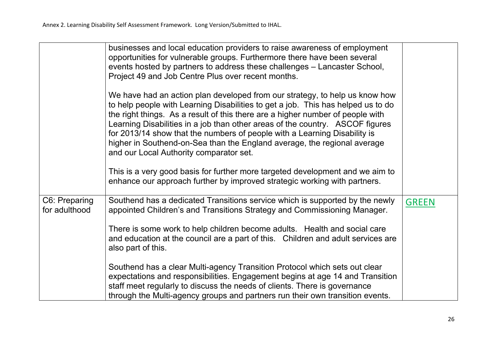|                                | businesses and local education providers to raise awareness of employment<br>opportunities for vulnerable groups. Furthermore there have been several<br>events hosted by partners to address these challenges – Lancaster School,<br>Project 49 and Job Centre Plus over recent months.<br>We have had an action plan developed from our strategy, to help us know how<br>to help people with Learning Disabilities to get a job. This has helped us to do |              |
|--------------------------------|-------------------------------------------------------------------------------------------------------------------------------------------------------------------------------------------------------------------------------------------------------------------------------------------------------------------------------------------------------------------------------------------------------------------------------------------------------------|--------------|
|                                | the right things. As a result of this there are a higher number of people with<br>Learning Disabilities in a job than other areas of the country. ASCOF figures<br>for 2013/14 show that the numbers of people with a Learning Disability is<br>higher in Southend-on-Sea than the England average, the regional average<br>and our Local Authority comparator set.                                                                                         |              |
|                                | This is a very good basis for further more targeted development and we aim to<br>enhance our approach further by improved strategic working with partners.                                                                                                                                                                                                                                                                                                  |              |
| C6: Preparing<br>for adulthood | Southend has a dedicated Transitions service which is supported by the newly<br>appointed Children's and Transitions Strategy and Commissioning Manager.                                                                                                                                                                                                                                                                                                    | <b>GREEN</b> |
|                                | There is some work to help children become adults. Health and social care<br>and education at the council are a part of this. Children and adult services are<br>also part of this.                                                                                                                                                                                                                                                                         |              |
|                                | Southend has a clear Multi-agency Transition Protocol which sets out clear<br>expectations and responsibilities. Engagement begins at age 14 and Transition<br>staff meet regularly to discuss the needs of clients. There is governance<br>through the Multi-agency groups and partners run their own transition events.                                                                                                                                   |              |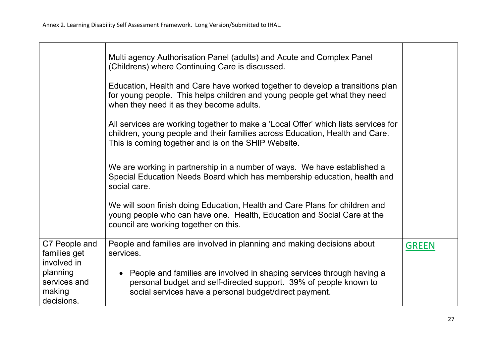|                                                          | Multi agency Authorisation Panel (adults) and Acute and Complex Panel<br>(Childrens) where Continuing Care is discussed.<br>Education, Health and Care have worked together to develop a transitions plan<br>for young people. This helps children and young people get what they need<br>when they need it as they become adults.<br>All services are working together to make a 'Local Offer' which lists services for<br>children, young people and their families across Education, Health and Care.<br>This is coming together and is on the SHIP Website.<br>We are working in partnership in a number of ways. We have established a<br>Special Education Needs Board which has membership education, health and<br>social care.<br>We will soon finish doing Education, Health and Care Plans for children and<br>young people who can have one. Health, Education and Social Care at the<br>council are working together on this. |              |
|----------------------------------------------------------|--------------------------------------------------------------------------------------------------------------------------------------------------------------------------------------------------------------------------------------------------------------------------------------------------------------------------------------------------------------------------------------------------------------------------------------------------------------------------------------------------------------------------------------------------------------------------------------------------------------------------------------------------------------------------------------------------------------------------------------------------------------------------------------------------------------------------------------------------------------------------------------------------------------------------------------------|--------------|
| C7 People and<br>families get<br>involved in<br>planning | People and families are involved in planning and making decisions about<br>services.<br>• People and families are involved in shaping services through having a                                                                                                                                                                                                                                                                                                                                                                                                                                                                                                                                                                                                                                                                                                                                                                            | <b>GREEN</b> |
| services and<br>making<br>decisions.                     | personal budget and self-directed support. 39% of people known to<br>social services have a personal budget/direct payment.                                                                                                                                                                                                                                                                                                                                                                                                                                                                                                                                                                                                                                                                                                                                                                                                                |              |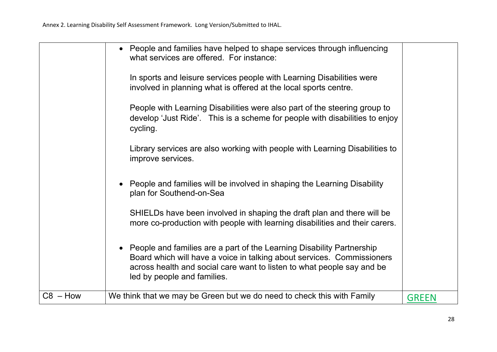|            | • People and families have helped to shape services through influencing<br>what services are offered. For instance:<br>In sports and leisure services people with Learning Disabilities were<br>involved in planning what is offered at the local sports centre.<br>People with Learning Disabilities were also part of the steering group to<br>develop 'Just Ride'. This is a scheme for people with disabilities to enjoy<br>cycling.<br>Library services are also working with people with Learning Disabilities to<br>improve services.<br>People and families will be involved in shaping the Learning Disability<br>plan for Southend-on-Sea<br>SHIELDs have been involved in shaping the draft plan and there will be<br>more co-production with people with learning disabilities and their carers.<br>People and families are a part of the Learning Disability Partnership<br>$\bullet$<br>Board which will have a voice in talking about services. Commissioners<br>across health and social care want to listen to what people say and be<br>led by people and families. |              |
|------------|---------------------------------------------------------------------------------------------------------------------------------------------------------------------------------------------------------------------------------------------------------------------------------------------------------------------------------------------------------------------------------------------------------------------------------------------------------------------------------------------------------------------------------------------------------------------------------------------------------------------------------------------------------------------------------------------------------------------------------------------------------------------------------------------------------------------------------------------------------------------------------------------------------------------------------------------------------------------------------------------------------------------------------------------------------------------------------------|--------------|
|            |                                                                                                                                                                                                                                                                                                                                                                                                                                                                                                                                                                                                                                                                                                                                                                                                                                                                                                                                                                                                                                                                                       |              |
| $C8 - How$ | We think that we may be Green but we do need to check this with Family                                                                                                                                                                                                                                                                                                                                                                                                                                                                                                                                                                                                                                                                                                                                                                                                                                                                                                                                                                                                                | <b>GREEN</b> |